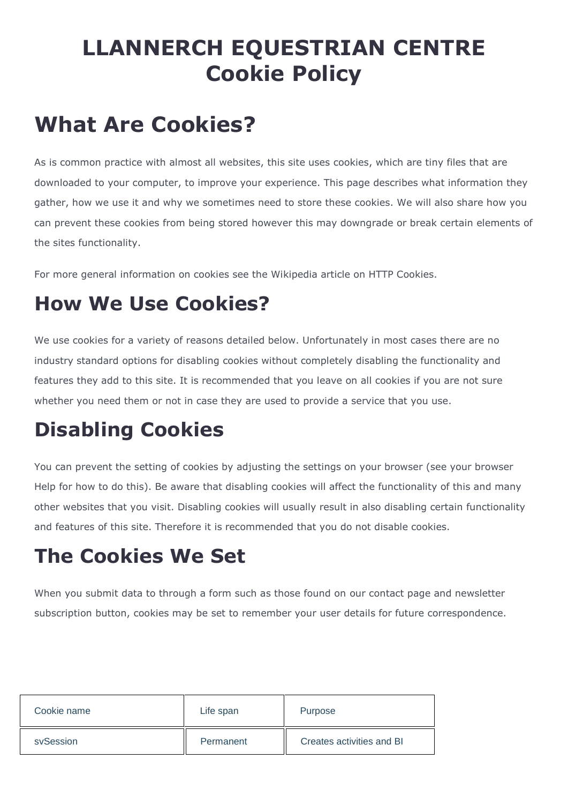# **LLANNERCH EQUESTRIAN CENTRE Cookie Policy**

# **What Are Cookies?**

As is common practice with almost all websites, this site uses cookies, which are tiny files that are downloaded to your computer, to improve your experience. This page describes what information they gather, how we use it and why we sometimes need to store these cookies. We will also share how you can prevent these cookies from being stored however this may downgrade or break certain elements of the sites functionality.

For more general information on cookies see the Wikipedia article on HTTP Cookies.

### **How We Use Cookies?**

We use cookies for a variety of reasons detailed below. Unfortunately in most cases there are no industry standard options for disabling cookies without completely disabling the functionality and features they add to this site. It is recommended that you leave on all cookies if you are not sure whether you need them or not in case they are used to provide a service that you use.

## **Disabling Cookies**

You can prevent the setting of cookies by adjusting the settings on your browser (see your browser Help for how to do this). Be aware that disabling cookies will affect the functionality of this and many other websites that you visit. Disabling cookies will usually result in also disabling certain functionality and features of this site. Therefore it is recommended that you do not disable cookies.

## **The Cookies We Set**

When you submit data to through a form such as those found on our contact page and newsletter subscription button, cookies may be set to remember your user details for future correspondence.

| Cookie name | Life span | <b>Purpose</b>            |
|-------------|-----------|---------------------------|
| sySession   | Permanent | Creates activities and BI |